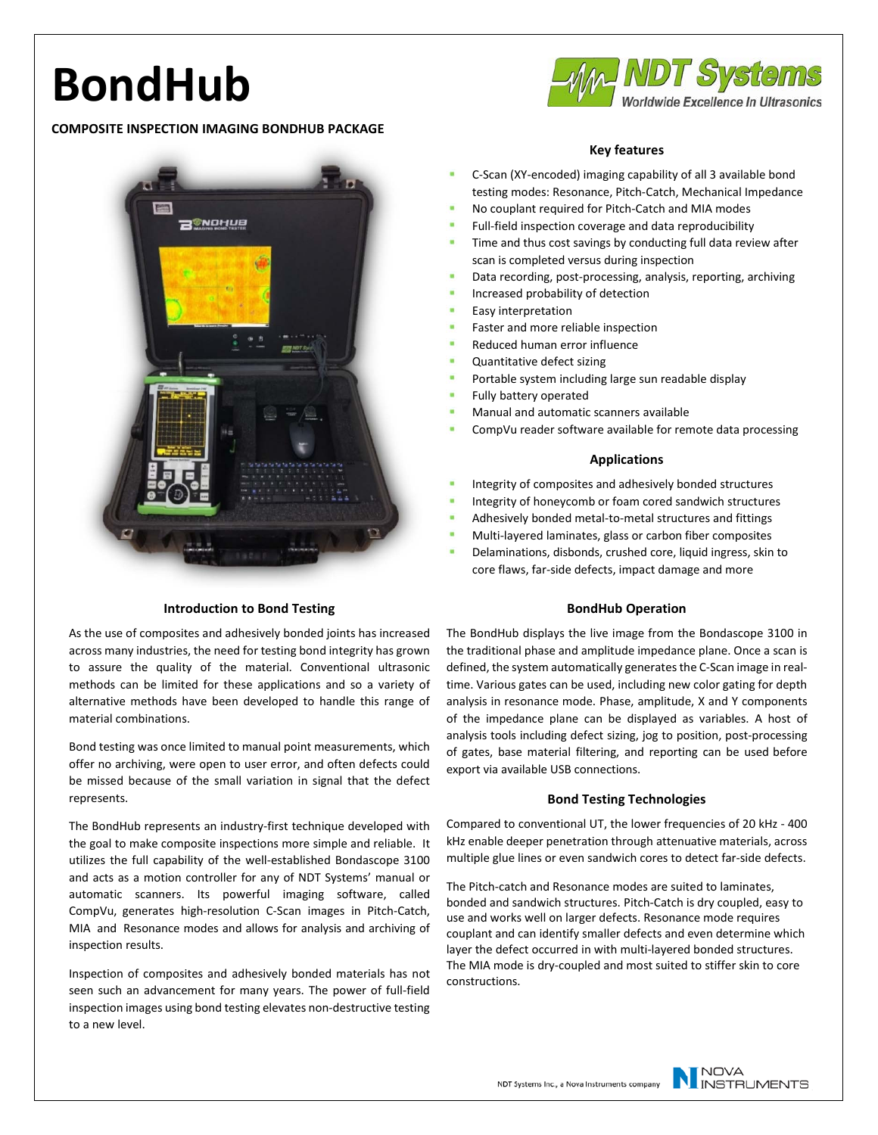# **BondHub**

# **COMPOSITE INSPECTION IMAGING BONDHUB PACKAGE**



## **Introduction to Bond Testing**

As the use of composites and adhesively bonded joints has increased across many industries, the need for testing bond integrity has grown to assure the quality of the material. Conventional ultrasonic methods can be limited for these applications and so a variety of alternative methods have been developed to handle this range of material combinations.

Bond testing was once limited to manual point measurements, which offer no archiving, were open to user error, and often defects could be missed because of the small variation in signal that the defect represents.

The BondHub represents an industry-first technique developed with the goal to make composite inspections more simple and reliable. It utilizes the full capability of the well-established Bondascope 3100 and acts as a motion controller for any of NDT Systems' manual or automatic scanners. Its powerful imaging software, called CompVu, generates high-resolution C-Scan images in Pitch-Catch, MIA and Resonance modes and allows for analysis and archiving of inspection results.

Inspection of composites and adhesively bonded materials has not seen such an advancement for many years. The power of full-field inspection images using bond testing elevates non-destructive testing to a new level.



# **Key features**

- C-Scan (XY-encoded) imaging capability of all 3 available bond testing modes: Resonance, Pitch-Catch, Mechanical Impedance
- No couplant required for Pitch-Catch and MIA modes
- Full-field inspection coverage and data reproducibility
- Time and thus cost savings by conducting full data review after scan is completed versus during inspection
- Data recording, post-processing, analysis, reporting, archiving
- Increased probability of detection
- Easy interpretation
- Faster and more reliable inspection
- Reduced human error influence
- Quantitative defect sizing
- Portable system including large sun readable display
- Fully battery operated
- Manual and automatic scanners available
- CompVu reader software available for remote data processing

#### **Applications**

- Integrity of composites and adhesively bonded structures
- Integrity of honeycomb or foam cored sandwich structures
- Adhesively bonded metal-to-metal structures and fittings
- Multi-layered laminates, glass or carbon fiber composites
- Delaminations, disbonds, crushed core, liquid ingress, skin to core flaws, far-side defects, impact damage and more

## **BondHub Operation**

The BondHub displays the live image from the Bondascope 3100 in the traditional phase and amplitude impedance plane. Once a scan is defined, the system automatically generates the C-Scan image in realtime. Various gates can be used, including new color gating for depth analysis in resonance mode. Phase, amplitude, X and Y components of the impedance plane can be displayed as variables. A host of analysis tools including defect sizing, jog to position, post-processing of gates, base material filtering, and reporting can be used before export via available USB connections.

## **Bond Testing Technologies**

Compared to conventional UT, the lower frequencies of 20 kHz - 400 kHz enable deeper penetration through attenuative materials, across multiple glue lines or even sandwich cores to detect far-side defects.

The Pitch-catch and Resonance modes are suited to laminates, bonded and sandwich structures. Pitch-Catch is dry coupled, easy to use and works well on larger defects. Resonance mode requires couplant and can identify smaller defects and even determine which layer the defect occurred in with multi-layered bonded structures. The MIA mode is dry-coupled and most suited to stiffer skin to core constructions.